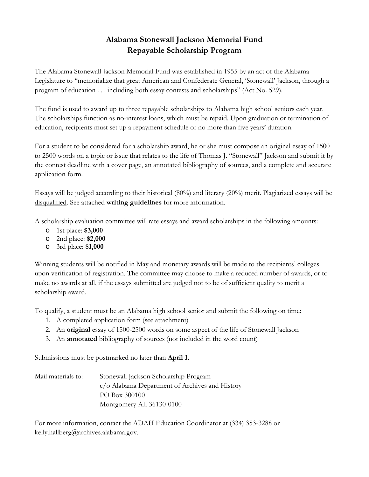# **Alabama Stonewall Jackson Memorial Fund Repayable Scholarship Program**

The Alabama Stonewall Jackson Memorial Fund was established in 1955 by an act of the Alabama Legislature to "memorialize that great American and Confederate General, 'Stonewall' Jackson, through a program of education . . . including both essay contests and scholarships" (Act No. 529).

The fund is used to award up to three repayable scholarships to Alabama high school seniors each year. The scholarships function as no-interest loans, which must be repaid. Upon graduation or termination of education, recipients must set up a repayment schedule of no more than five years' duration.

For a student to be considered for a scholarship award, he or she must compose an original essay of 1500 to 2500 words on a topic or issue that relates to the life of Thomas J. "Stonewall" Jackson and submit it by the contest deadline with a cover page, an annotated bibliography of sources, and a complete and accurate application form.

Essays will be judged according to their historical (80%) and literary (20%) merit. Plagiarized essays will be disqualified. See attached **writing guidelines** for more information.

A scholarship evaluation committee will rate essays and award scholarships in the following amounts:

- o 1st place: **\$3,000**
- o 2nd place: **\$2,000**
- o 3rd place: **\$1,000**

Winning students will be notified in May and monetary awards will be made to the recipients' colleges upon verification of registration. The committee may choose to make a reduced number of awards, or to make no awards at all, if the essays submitted are judged not to be of sufficient quality to merit a scholarship award.

To qualify, a student must be an Alabama high school senior and submit the following on time:

- 1. A completed application form (see attachment)
- 2. An **original** essay of 1500-2500 words on some aspect of the life of Stonewall Jackson
- 3. An **annotated** bibliography of sources (not included in the word count)

Submissions must be postmarked no later than **April 1.**

| Mail materials to: | Stonewall Jackson Scholarship Program                   |
|--------------------|---------------------------------------------------------|
|                    | $c/\text{o}$ Alabama Department of Archives and History |
|                    | PO Box 300100                                           |
|                    | Montgomery AL 36130-0100                                |

For more information, contact the ADAH Education Coordinator at (334) 353-3288 or kelly.hallberg@archives.alabama.gov.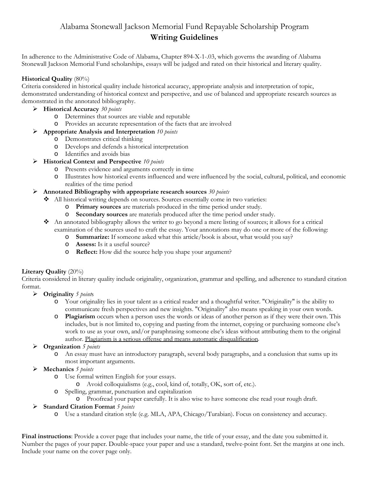## Alabama Stonewall Jackson Memorial Fund Repayable Scholarship Program **Writing Guidelines**

In adherence to the Administrative Code of Alabama, Chapter 894-X-1-.03, which governs the awarding of Alabama Stonewall Jackson Memorial Fund scholarships, essays will be judged and rated on their historical and literary quality.

#### **Historical Quality** (80%)

Criteria considered in historical quality include historical accuracy, appropriate analysis and interpretation of topic, demonstrated understanding of historical context and perspective, and use of balanced and appropriate research sources as demonstrated in the annotated bibliography.

- **Historical Accuracy** *30 points*
	- o Determines that sources are viable and reputable
	- o Provides an accurate representation of the facts that are involved
- **Appropriate Analysis and Interpretation** *10 points*
	- o Demonstrates critical thinking
	- o Develops and defends a historical interpretation
	- o Identifies and avoids bias
- **Historical Context and Perspective** *10 points*
	- o Presents evidence and arguments correctly in time
	- o Illustrates how historical events influenced and were influenced by the social, cultural, political, and economic realities of the time period
- **Annotated Bibliography with appropriate research sources** *30 points*
	- All historical writing depends on sources. Sources essentially come in two varieties:
		- o **Primary sources** are materials produced in the time period under study.
		- o **Secondary sources** are materials produced after the time period under study.
	- An annotated bibliography allows the writer to go beyond a mere listing of sources; it allows for a critical examination of the sources used to craft the essay. Your annotations may do one or more of the following:
		- o **Summarize:** If someone asked what this article/book is about, what would you say?
		- o **Assess:** Is it a useful source?
		- o **Reflect:** How did the source help you shape your argument?

### **Literary Quality** (20%)

Criteria considered in literary quality include originality, organization, grammar and spelling, and adherence to standard citation format.

- **Originality** *5 point*s
	- o Your originality lies in your talent as a critical reader and a thoughtful writer. "Originality" is the ability to communicate fresh perspectives and new insights. "Originality" also means speaking in your own words.
	- o **Plagiarism** occurs when a person uses the words or ideas of another person as if they were their own. This includes, but is not limited to, copying and pasting from the internet, copying or purchasing someone else's work to use as your own, and/or paraphrasing someone else's ideas without attributing them to the original author. Plagiarism is a serious offense and means automatic disqualification.
- **Organization** *5 points*
	- o An essay must have an introductory paragraph, several body paragraphs, and a conclusion that sums up its most important arguments.
- **Mechanics** *5 points*
	- o Use formal written English for your essays.
		- o Avoid colloquialisms (e.g., cool, kind of, totally, OK, sort of, etc.).
	- o Spelling, grammar, punctuation and capitalization
		- o Proofread your paper carefully. It is also wise to have someone else read your rough draft.
- **Standard Citation Format** *5 points*
	- o Use a standard citation style (e.g. MLA, APA, Chicago/Turabian). Focus on consistency and accuracy.

**Final instructions**: Provide a cover page that includes your name, the title of your essay, and the date you submitted it. Number the pages of your paper. Double-space your paper and use a standard, twelve-point font. Set the margins at one inch. Include your name on the cover page only.